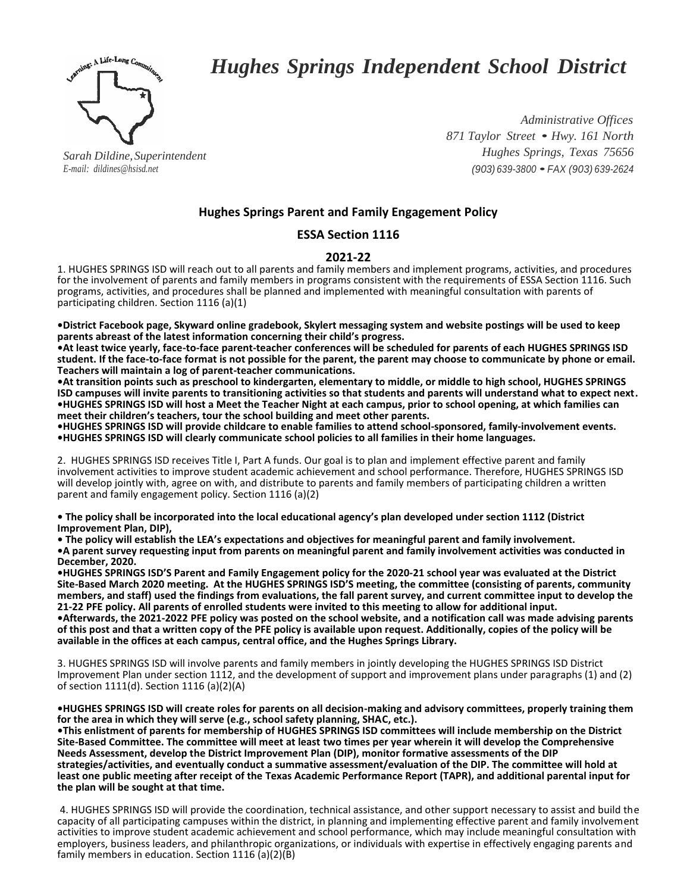

# *Hughes Springs Independent School District*

*Sarah Dildine,Superintendent E-mail: dildines@hsisd.net*

*Administrative Offices <sup>871</sup> Taylor Street* • *Hwy. <sup>161</sup> North Hughes Springs, Texas 75656 (903) 639-3800* •*FAX (903) 639-2624*

# **Hughes Springs Parent and Family Engagement Policy**

# **ESSA Section 1116**

## **2021-22**

1. HUGHES SPRINGS ISD will reach out to all parents and family members and implement programs, activities, and procedures for the involvement of parents and family members in programs consistent with the requirements of ESSA Section 1116. Such programs, activities, and procedures shall be planned and implemented with meaningful consultation with parents of participating children. Section 1116 (a)(1)

**•District Facebook page, Skyward online gradebook, Skylert messaging system and website postings will be used to keep parents abreast of the latest information concerning their child's progress.**

**•At least twice yearly, face-to-face parent-teacher conferences will be scheduled for parents of each HUGHES SPRINGS ISD student. If the face-to-face format is not possible for the parent, the parent may choose to communicate by phone or email. Teachers will maintain a log of parent-teacher communications.**

**•At transition points such as preschool to kindergarten, elementary to middle, or middle to high school, HUGHES SPRINGS ISD campuses will invite parents to transitioning activities so that students and parents will understand what to expect next. •HUGHES SPRINGS ISD will host a Meet the Teacher Night at each campus, prior to school opening, at which families can meet their children's teachers, tour the school building and meet other parents.** 

**•HUGHES SPRINGS ISD will provide childcare to enable families to attend school-sponsored, family-involvement events. •HUGHES SPRINGS ISD will clearly communicate school policies to all families in their home languages.**

2. HUGHES SPRINGS ISD receives Title I, Part A funds. Our goal is to plan and implement effective parent and family involvement activities to improve student academic achievement and school performance. Therefore, HUGHES SPRINGS ISD will develop jointly with, agree on with, and distribute to parents and family members of participating children a written parent and family engagement policy. Section 1116 (a)(2)

**• The policy shall be incorporated into the local educational agency's plan developed under section 1112 (District Improvement Plan, DIP),** 

**• The policy will establish the LEA's expectations and objectives for meaningful parent and family involvement. •A parent survey requesting input from parents on meaningful parent and family involvement activities was conducted in December, 2020.** 

**•HUGHES SPRINGS ISD'S Parent and Family Engagement policy for the 2020-21 school year was evaluated at the District Site-Based March 2020 meeting. At the HUGHES SPRINGS ISD'S meeting, the committee (consisting of parents, community members, and staff) used the findings from evaluations, the fall parent survey, and current committee input to develop the 21-22 PFE policy. All parents of enrolled students were invited to this meeting to allow for additional input.** 

**•Afterwards, the 2021-2022 PFE policy was posted on the school website, and a notification call was made advising parents of this post and that a written copy of the PFE policy is available upon request. Additionally, copies of the policy will be available in the offices at each campus, central office, and the Hughes Springs Library.**

3. HUGHES SPRINGS ISD will involve parents and family members in jointly developing the HUGHES SPRINGS ISD District Improvement Plan under section 1112, and the development of support and improvement plans under paragraphs (1) and (2) of section 1111(d). Section 1116 (a)(2)(A)

**•HUGHES SPRINGS ISD will create roles for parents on all decision-making and advisory committees, properly training them for the area in which they will serve (e.g., school safety planning, SHAC, etc.).** 

**•This enlistment of parents for membership of HUGHES SPRINGS ISD committees will include membership on the District Site-Based Committee. The committee will meet at least two times per year wherein it will develop the Comprehensive Needs Assessment, develop the District Improvement Plan (DIP), monitor formative assessments of the DIP strategies/activities, and eventually conduct a summative assessment/evaluation of the DIP. The committee will hold at least one public meeting after receipt of the Texas Academic Performance Report (TAPR), and additional parental input for the plan will be sought at that time.**

4. HUGHES SPRINGS ISD will provide the coordination, technical assistance, and other support necessary to assist and build the capacity of all participating campuses within the district, in planning and implementing effective parent and family involvement activities to improve student academic achievement and school performance, which may include meaningful consultation with employers, business leaders, and philanthropic organizations, or individuals with expertise in effectively engaging parents and family members in education. Section 1116 (a)(2)(B)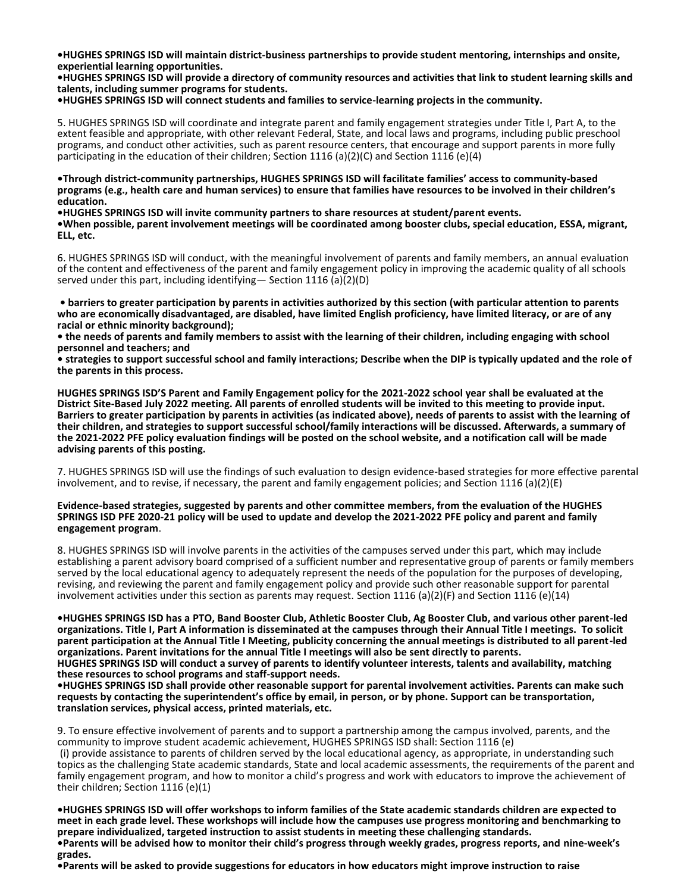**•HUGHES SPRINGS ISD will maintain district-business partnerships to provide student mentoring, internships and onsite, experiential learning opportunities.**

**•HUGHES SPRINGS ISD will provide a directory of community resources and activities that link to student learning skills and talents, including summer programs for students.**

**•HUGHES SPRINGS ISD will connect students and families to service-learning projects in the community.** 

5. HUGHES SPRINGS ISD will coordinate and integrate parent and family engagement strategies under Title I, Part A, to the extent feasible and appropriate, with other relevant Federal, State, and local laws and programs, including public preschool programs, and conduct other activities, such as parent resource centers, that encourage and support parents in more fully participating in the education of their children; Section 1116 (a)(2)(C) and Section 1116 (e)(4)

**•Through district-community partnerships, HUGHES SPRINGS ISD will facilitate families' access to community-based programs (e.g., health care and human services) to ensure that families have resources to be involved in their children's education.**

**•HUGHES SPRINGS ISD will invite community partners to share resources at student/parent events. •When possible, parent involvement meetings will be coordinated among booster clubs, special education, ESSA, migrant, ELL, etc.**

6. HUGHES SPRINGS ISD will conduct, with the meaningful involvement of parents and family members, an annual evaluation of the content and effectiveness of the parent and family engagement policy in improving the academic quality of all schools served under this part, including identifying— Section 1116 (a)(2)(D)

**• barriers to greater participation by parents in activities authorized by this section (with particular attention to parents who are economically disadvantaged, are disabled, have limited English proficiency, have limited literacy, or are of any racial or ethnic minority background);** 

**• the needs of parents and family members to assist with the learning of their children, including engaging with school personnel and teachers; and** 

**• strategies to support successful school and family interactions; Describe when the DIP is typically updated and the role of the parents in this process.** 

**HUGHES SPRINGS ISD'S Parent and Family Engagement policy for the 2021-2022 school year shall be evaluated at the District Site-Based July 2022 meeting. All parents of enrolled students will be invited to this meeting to provide input. Barriers to greater participation by parents in activities (as indicated above), needs of parents to assist with the learning of their children, and strategies to support successful school/family interactions will be discussed. Afterwards, a summary of the 2021-2022 PFE policy evaluation findings will be posted on the school website, and a notification call will be made advising parents of this posting.**

7. HUGHES SPRINGS ISD will use the findings of such evaluation to design evidence-based strategies for more effective parental involvement, and to revise, if necessary, the parent and family engagement policies; and Section 1116 (a)(2)(E)

#### **Evidence-based strategies, suggested by parents and other committee members, from the evaluation of the HUGHES SPRINGS ISD PFE 2020-21 policy will be used to update and develop the 2021-2022 PFE policy and parent and family engagement program**.

8. HUGHES SPRINGS ISD will involve parents in the activities of the campuses served under this part, which may include establishing a parent advisory board comprised of a sufficient number and representative group of parents or family members served by the local educational agency to adequately represent the needs of the population for the purposes of developing, revising, and reviewing the parent and family engagement policy and provide such other reasonable support for parental involvement activities under this section as parents may request. Section 1116 (a)(2)(F) and Section 1116 (e)(14)

**•HUGHES SPRINGS ISD has a PTO, Band Booster Club, Athletic Booster Club, Ag Booster Club, and various other parent-led organizations. Title I, Part A information is disseminated at the campuses through their Annual Title I meetings. To solicit parent participation at the Annual Title I Meeting, publicity concerning the annual meetings is distributed to all parent-led organizations. Parent invitations for the annual Title I meetings will also be sent directly to parents.**

**HUGHES SPRINGS ISD will conduct a survey of parents to identify volunteer interests, talents and availability, matching these resources to school programs and staff-support needs.** 

**•HUGHES SPRINGS ISD shall provide other reasonable support for parental involvement activities. Parents can make such requests by contacting the superintendent's office by email, in person, or by phone. Support can be transportation, translation services, physical access, printed materials, etc.**

9. To ensure effective involvement of parents and to support a partnership among the campus involved, parents, and the community to improve student academic achievement, HUGHES SPRINGS ISD shall: Section 1116 (e)

(i) provide assistance to parents of children served by the local educational agency, as appropriate, in understanding such topics as the challenging State academic standards, State and local academic assessments, the requirements of the parent and family engagement program, and how to monitor a child's progress and work with educators to improve the achievement of their children; Section 1116 (e)(1)

**•HUGHES SPRINGS ISD will offer workshops to inform families of the State academic standards children are expected to meet in each grade level. These workshops will include how the campuses use progress monitoring and benchmarking to prepare individualized, targeted instruction to assist students in meeting these challenging standards. •Parents will be advised how to monitor their child's progress through weekly grades, progress reports, and nine-week's grades.** 

**•Parents will be asked to provide suggestions for educators in how educators might improve instruction to raise**